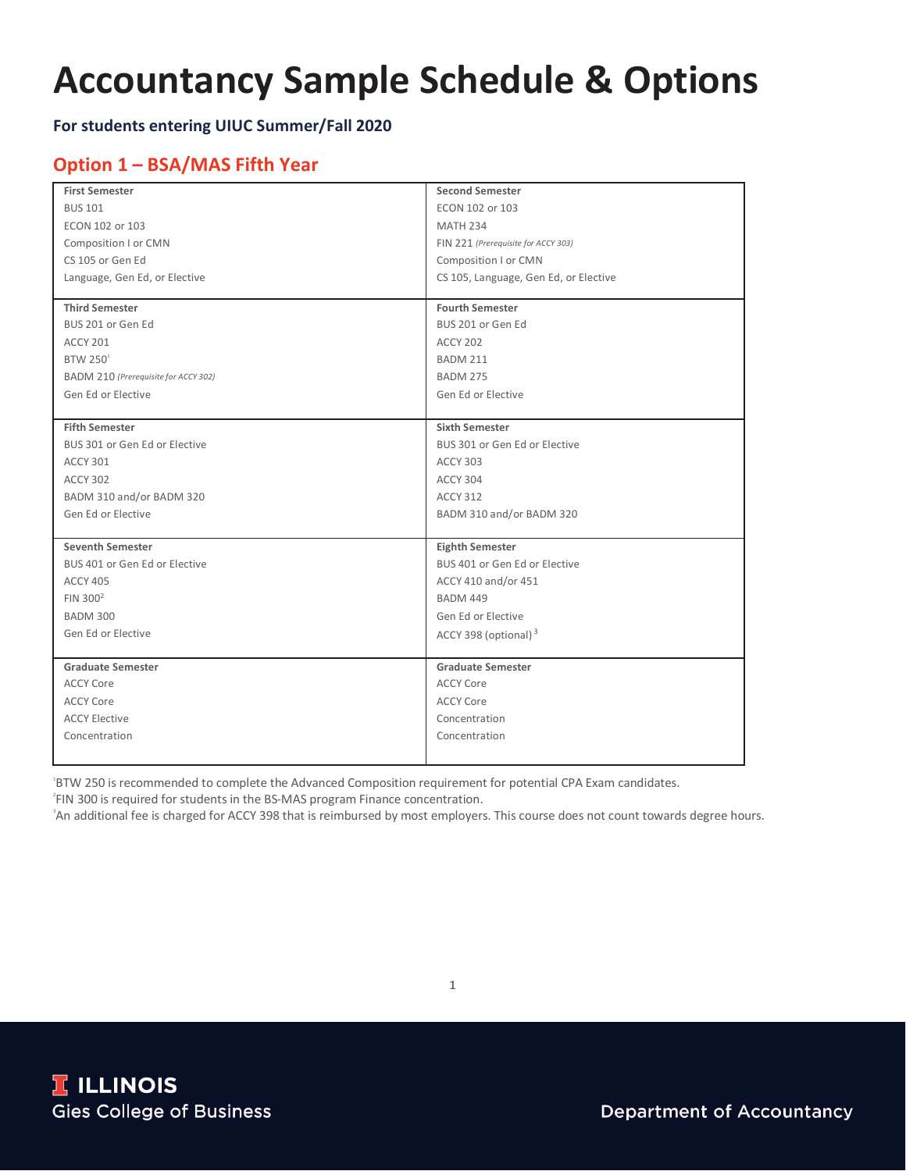# **Accountancy Sample Schedule & Options**

#### **For students entering UIUC Summer/Fall 2020**

### **Option 1 – BSA/MAS Fifth Year**

| <b>First Semester</b>                | <b>Second Semester</b>                |
|--------------------------------------|---------------------------------------|
| <b>BUS 101</b>                       | ECON 102 or 103                       |
| ECON 102 or 103                      | <b>MATH 234</b>                       |
| Composition I or CMN                 | FIN 221 (Prerequisite for ACCY 303)   |
| CS 105 or Gen Ed                     | Composition I or CMN                  |
| Language, Gen Ed, or Elective        | CS 105, Language, Gen Ed, or Elective |
|                                      |                                       |
| <b>Third Semester</b>                | <b>Fourth Semester</b>                |
| BUS 201 or Gen Ed                    | BUS 201 or Gen Ed                     |
| <b>ACCY 201</b>                      | <b>ACCY 202</b>                       |
| <b>BTW 250<sup>1</sup></b>           | <b>BADM 211</b>                       |
| BADM 210 (Prerequisite for ACCY 302) | <b>BADM 275</b>                       |
| Gen Ed or Elective                   | Gen Ed or Elective                    |
|                                      |                                       |
| <b>Fifth Semester</b>                | <b>Sixth Semester</b>                 |
| BUS 301 or Gen Ed or Elective        | BUS 301 or Gen Ed or Elective         |
| <b>ACCY 301</b>                      | <b>ACCY 303</b>                       |
| <b>ACCY 302</b>                      | ACCY 304                              |
| BADM 310 and/or BADM 320             | <b>ACCY 312</b>                       |
| Gen Ed or Elective                   | BADM 310 and/or BADM 320              |
|                                      |                                       |
| <b>Seventh Semester</b>              | <b>Eighth Semester</b>                |
| BUS 401 or Gen Ed or Elective        | BUS 401 or Gen Ed or Elective         |
| <b>ACCY 405</b>                      | ACCY 410 and/or 451                   |
| FIN $300^2$                          | <b>BADM 449</b>                       |
| <b>BADM 300</b>                      | Gen Ed or Elective                    |
| Gen Ed or Elective                   | ACCY 398 (optional) <sup>3</sup>      |
|                                      |                                       |
| <b>Graduate Semester</b>             | <b>Graduate Semester</b>              |
| <b>ACCY Core</b>                     | <b>ACCY Core</b>                      |
| <b>ACCY Core</b>                     | <b>ACCY Core</b>                      |
| <b>ACCY Elective</b>                 | Concentration                         |
| Concentration                        | Concentration                         |
|                                      |                                       |

BTW 250 is recommended to complete the Advanced Composition requirement for potential CPA Exam candidates.<br><sup>2</sup>EIN 200 is required for students in the PS MAS presents Finance concentration.

<sup>2</sup> FIN 300 is required for students in the BS-MAS program Finance concentration.

An additional fee is charged for ACCY 398 that is reimbursed by most employers. This course does not count towards degree hours.

1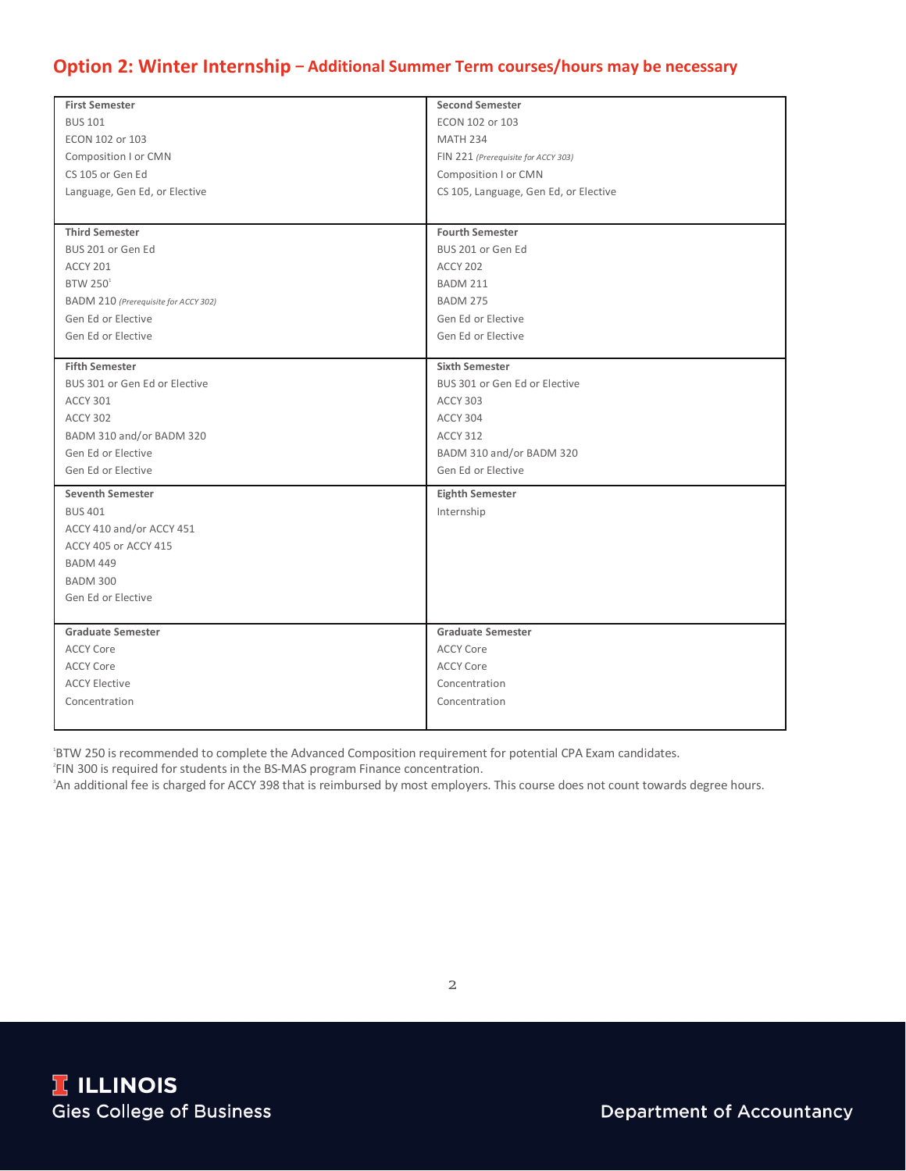## **Option 2: Winter Internship – Additional Summer Term courses/hours may be necessary**

| <b>First Semester</b>                | <b>Second Semester</b>                |
|--------------------------------------|---------------------------------------|
| <b>BUS 101</b>                       | ECON 102 or 103                       |
| ECON 102 or 103                      | <b>MATH 234</b>                       |
| Composition I or CMN                 | FIN 221 (Prerequisite for ACCY 303)   |
| CS 105 or Gen Ed                     | Composition I or CMN                  |
| Language, Gen Ed, or Elective        | CS 105, Language, Gen Ed, or Elective |
|                                      |                                       |
| <b>Third Semester</b>                | <b>Fourth Semester</b>                |
| BUS 201 or Gen Ed                    | BUS 201 or Gen Ed                     |
| <b>ACCY 201</b>                      | <b>ACCY 202</b>                       |
| BTW 250 <sup>1</sup>                 | <b>BADM 211</b>                       |
| BADM 210 (Prerequisite for ACCY 302) | <b>BADM 275</b>                       |
| Gen Ed or Elective                   | Gen Ed or Elective                    |
| Gen Ed or Elective                   | Gen Ed or Elective                    |
|                                      |                                       |
| <b>Fifth Semester</b>                | <b>Sixth Semester</b>                 |
| BUS 301 or Gen Ed or Elective        | BUS 301 or Gen Ed or Elective         |
| <b>ACCY 301</b>                      | <b>ACCY 303</b>                       |
| <b>ACCY 302</b>                      | <b>ACCY 304</b>                       |
| BADM 310 and/or BADM 320             | <b>ACCY 312</b>                       |
| Gen Ed or Elective                   | BADM 310 and/or BADM 320              |
| Gen Ed or Elective                   | Gen Ed or Elective                    |
| <b>Seventh Semester</b>              | <b>Eighth Semester</b>                |
| <b>BUS 401</b>                       | Internship                            |
| ACCY 410 and/or ACCY 451             |                                       |
| ACCY 405 or ACCY 415                 |                                       |
| <b>BADM 449</b>                      |                                       |
| <b>BADM 300</b>                      |                                       |
| Gen Ed or Elective                   |                                       |
|                                      |                                       |
| <b>Graduate Semester</b>             | <b>Graduate Semester</b>              |
| <b>ACCY Core</b>                     | <b>ACCY Core</b>                      |
| <b>ACCY Core</b>                     | <b>ACCY Core</b>                      |
| <b>ACCY Elective</b>                 | Concentration                         |
| Concentration                        | Concentration                         |
|                                      |                                       |

BTW 250 is recommended to complete the Advanced Composition requirement for potential CPA Exam candidates.<br><sup>2018</sup> 200 is required for students in the PS MAS pregram Finance concentration.

<sup>2</sup>FIN 300 is required for students in the BS-MAS program Finance concentration.

<sup>3</sup> An additional fee is charged for ACCY 398 that is reimbursed by most employers. This course does not count towards degree hours.